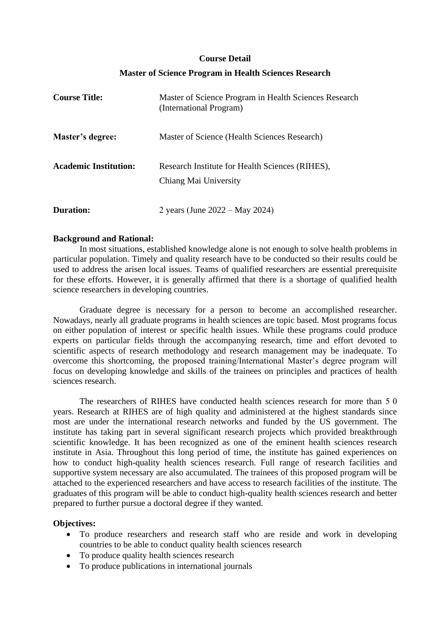#### **Course Detail**

## **Master of Science Program in Health Sciences Research**

| <b>Course Title:</b>         | Master of Science Program in Health Sciences Research<br>(International Program) |
|------------------------------|----------------------------------------------------------------------------------|
| Master's degree:             | Master of Science (Health Sciences Research)                                     |
| <b>Academic Institution:</b> | Research Institute for Health Sciences (RIHES),<br>Chiang Mai University         |
| Duration:                    | 2 years (June $2022 - May 2024$ )                                                |

#### **Background and Rational:**

In most situations, established knowledge alone is not enough to solve health problems in particular population. Timely and quality research have to be conducted so their results could be used to address the arisen local issues. Teams of qualified researchers are essential prerequisite for these efforts. However, it is generally affirmed that there is a shortage of qualified health science researchers in developing countries.

Graduate degree is necessary for a person to become an accomplished researcher. Nowadays, nearly all graduate programs in health sciences are topic based. Most programs focus on either population of interest or specific health issues. While these programs could produce experts on particular fields through the accompanying research, time and effort devoted to scientific aspects of research methodology and research management may be inadequate. To overcome this shortcoming, the proposed training/International Master's degree program will focus on developing knowledge and skills of the trainees on principles and practices of health sciences research.

The researchers of RIHES have conducted health sciences research for more than 5 0 years. Research at RIHES are of high quality and administered at the highest standards since most are under the international research networks and funded by the US government. The institute has taking part in several significant research projects which provided breakthrough scientific knowledge. It has been recognized as one of the eminent health sciences research institute in Asia. Throughout this long period of time, the institute has gained experiences on how to conduct high-quality health sciences research. Full range of research facilities and supportive system necessary are also accumulated. The trainees of this proposed program will be attached to the experienced researchers and have access to research facilities of the institute. The graduates of this program will be able to conduct high-quality health sciences research and better prepared to further pursue a doctoral degree if they wanted.

#### **Objectives:**

- To produce researchers and research staff who are reside and work in developing countries to be able to conduct quality health sciences research
- To produce quality health sciences research
- To produce publications in international journals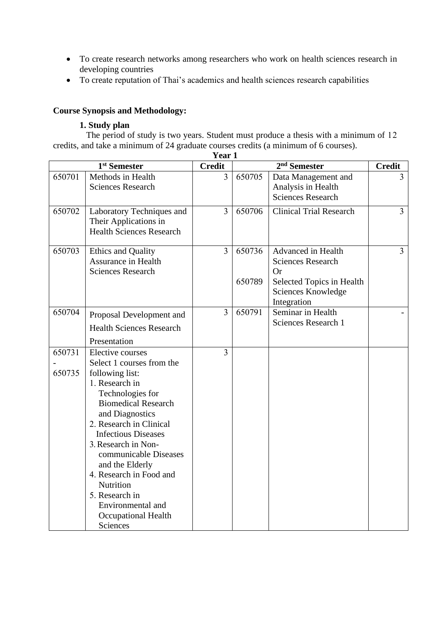- To create research networks among researchers who work on health sciences research in developing countries
- To create reputation of Thai's academics and health sciences research capabilities

# **Course Synopsis and Methodology:**

## **1. Study plan**

The period of study is two years. Student must produce a thesis with a minimum of 12 credits, and take a minimum of 24 graduate courses credits (a minimum of 6 courses).

|                          | Year 1                                                                                                                                                                                                                                                                                                                                                                                                       |                |                          |                                                                                                                        |                |
|--------------------------|--------------------------------------------------------------------------------------------------------------------------------------------------------------------------------------------------------------------------------------------------------------------------------------------------------------------------------------------------------------------------------------------------------------|----------------|--------------------------|------------------------------------------------------------------------------------------------------------------------|----------------|
| 1 <sup>st</sup> Semester |                                                                                                                                                                                                                                                                                                                                                                                                              | <b>Credit</b>  | 2 <sup>nd</sup> Semester |                                                                                                                        | <b>Credit</b>  |
| 650701                   | Methods in Health<br><b>Sciences Research</b>                                                                                                                                                                                                                                                                                                                                                                | $\overline{3}$ | 650705                   | Data Management and<br>Analysis in Health<br><b>Sciences Research</b>                                                  | 3              |
| 650702                   | Laboratory Techniques and<br>Their Applications in<br><b>Health Sciences Research</b>                                                                                                                                                                                                                                                                                                                        | $\overline{3}$ | 650706                   | <b>Clinical Trial Research</b>                                                                                         | $\overline{3}$ |
| 650703                   | <b>Ethics and Quality</b><br><b>Assurance in Health</b><br><b>Sciences Research</b>                                                                                                                                                                                                                                                                                                                          | $\overline{3}$ | 650736<br>650789         | Advanced in Health<br><b>Sciences Research</b><br>Or<br>Selected Topics in Health<br>Sciences Knowledge<br>Integration | $\overline{3}$ |
| 650704                   | Proposal Development and<br><b>Health Sciences Research</b><br>Presentation                                                                                                                                                                                                                                                                                                                                  | $\overline{3}$ | 650791                   | Seminar in Health<br><b>Sciences Research 1</b>                                                                        |                |
| 650731<br>650735         | Elective courses<br>Select 1 courses from the<br>following list:<br>1. Research in<br>Technologies for<br><b>Biomedical Research</b><br>and Diagnostics<br>2. Research in Clinical<br><b>Infectious Diseases</b><br>3. Research in Non-<br>communicable Diseases<br>and the Elderly<br>4. Research in Food and<br>Nutrition<br>5. Research in<br>Environmental and<br><b>Occupational Health</b><br>Sciences | 3              |                          |                                                                                                                        |                |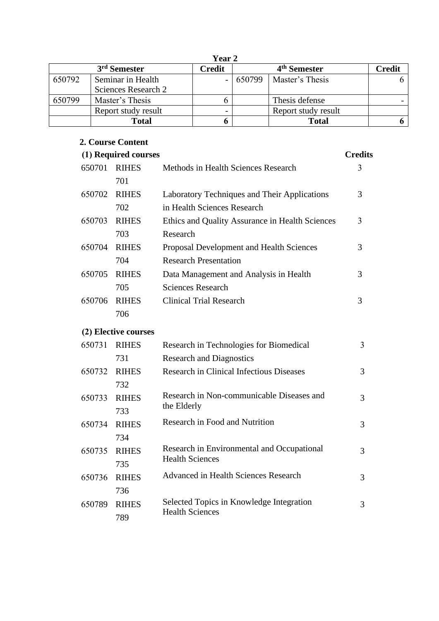| <b>Year 2</b>            |                                          |        |                          |                     |               |
|--------------------------|------------------------------------------|--------|--------------------------|---------------------|---------------|
| 3 <sup>rd</sup> Semester |                                          | Credit | 4 <sup>th</sup> Semester |                     | <b>Credit</b> |
| 650792                   | Seminar in Health<br>Sciences Research 2 |        | $-1650799$               | Master's Thesis     |               |
| 650799                   | Master's Thesis                          |        |                          | Thesis defense      |               |
|                          | Report study result                      |        |                          | Report study result |               |
|                          | Total                                    |        |                          | Total               |               |

## **2. Course Content**

650789 RIHES

789

|        | (1) Required courses |                                                 | <b>Credits</b> |
|--------|----------------------|-------------------------------------------------|----------------|
| 650701 | <b>RIHES</b>         | Methods in Health Sciences Research             | 3              |
|        | 701                  |                                                 |                |
| 650702 | <b>RIHES</b>         | Laboratory Techniques and Their Applications    | 3              |
|        | 702                  | in Health Sciences Research                     |                |
| 650703 | <b>RIHES</b>         | Ethics and Quality Assurance in Health Sciences | 3              |
|        | 703                  | Research                                        |                |
| 650704 | <b>RIHES</b>         | Proposal Development and Health Sciences        | 3              |
|        | 704                  | <b>Research Presentation</b>                    |                |
| 650705 | <b>RIHES</b>         | Data Management and Analysis in Health          | 3              |
|        | 705                  | <b>Sciences Research</b>                        |                |
| 650706 | <b>RIHES</b>         | <b>Clinical Trial Research</b>                  | 3              |
|        | 706                  |                                                 |                |
|        | (2) Elective courses |                                                 |                |
| 650731 | <b>RIHES</b>         | Research in Technologies for Biomedical         | 3              |
|        | 731                  | <b>Research and Diagnostics</b>                 |                |
| 650732 | <b>RIHES</b>         | <b>Research in Clinical Infectious Diseases</b> | 3              |
|        | 732                  |                                                 |                |
| 650733 | <b>RIHES</b>         | Research in Non-communicable Diseases and       | 3              |
|        | 733                  | the Elderly                                     |                |
| 650734 | <b>RIHES</b>         | Research in Food and Nutrition                  | 3              |
|        | 734                  |                                                 |                |
| 650735 | <b>RIHES</b>         | Research in Environmental and Occupational      | 3              |
|        | 735                  | <b>Health Sciences</b>                          |                |
| 650736 | <b>RIHES</b>         | <b>Advanced in Health Sciences Research</b>     | 3              |
|        | 736                  |                                                 |                |

Selected Topics in Knowledge Integration

3

Health Sciences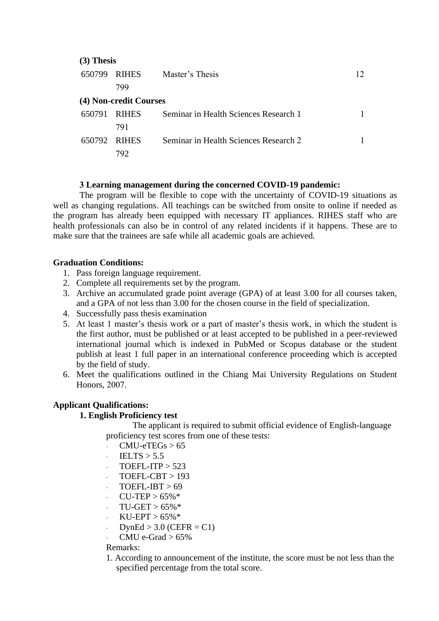| $(3)$ Thesis |                        |                                       |    |  |  |
|--------------|------------------------|---------------------------------------|----|--|--|
| 650799       | <b>RIHES</b>           | Master's Thesis                       | 12 |  |  |
|              | 799                    |                                       |    |  |  |
|              | (4) Non-credit Courses |                                       |    |  |  |
| 650791       | <b>RIHES</b>           | Seminar in Health Sciences Research 1 |    |  |  |
|              | 791                    |                                       |    |  |  |
| 650792 RIHES |                        | Seminar in Health Sciences Research 2 |    |  |  |
|              | /Y)                    |                                       |    |  |  |

## **3 Learning management during the concerned COVID-19 pandemic:**

The program will be flexible to cope with the uncertainty of COVID-19 situations as well as changing regulations. All teachings can be switched from onsite to online if needed as the program has already been equipped with necessary IT appliances. RIHES staff who are health professionals can also be in control of any related incidents if it happens. These are to make sure that the trainees are safe while all academic goals are achieved.

## **Graduation Conditions:**

- 1. Pass foreign language requirement.
- 2. Complete all requirements set by the program.
- 3. Archive an accumulated grade point average (GPA) of at least 3.00 for all courses taken, and a GPA of not less than 3.00 for the chosen course in the field of specialization.
- 4. Successfully pass thesis examination
- 5. At least 1 master's thesis work or a part of master's thesis work, in which the student is the first author, must be published or at least accepted to be published in a peer-reviewed international journal which is indexed in PubMed or Scopus database or the student publish at least 1 full paper in an international conference proceeding which is accepted by the field of study.
- 6. Meet the qualifications outlined in the Chiang Mai University Regulations on Student Honors, 2007.

## **Applicant Qualifications:**

#### **1. English Proficiency test**

The applicant is required to submit official evidence of English-language proficiency test scores from one of these tests:

- $CMU-erEGs > 65$
- $IELTS > 5.5$
- $TOEFI ITP > 523$
- $TOEFL-CBT > 193$
- $TOEFL-IBT > 69$
- $CU-TEP > 65%$
- $TU-GET > 65\%$ \*
- $KU-EPT > 65\%*$
- $DynEd > 3.0$  (CEFR = C1)
- CMU e-Grad  $> 65\%$

#### Remarks:

1. According to announcement of the institute, the score must be not less than the specified percentage from the total score.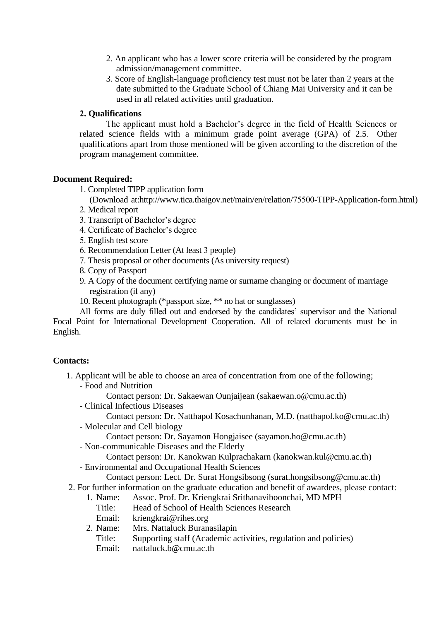- 2. An applicant who has a lower score criteria will be considered by the program admission/management committee.
- 3. Score of English-language proficiency test must not be later than 2 years at the date submitted to the Graduate School of Chiang Mai University and it can be used in all related activities until graduation.

## **2. Qualifications**

The applicant must hold a Bachelor's degree in the field of Health Sciences or related science fields with a minimum grade point average (GPA) of 2.5. Other qualifications apart from those mentioned will be given according to the discretion of the program management committee.

## **Document Required:**

1. Completed TIPP application form

(Download at:http://www.tica.thaigov.net/main/en/relation/75500-TIPP-Application-form.html)

- 2. Medical report
- 3. Transcript of Bachelor's degree
- 4. Certificate of Bachelor's degree
- 5. English test score
- 6. Recommendation Letter (At least 3 people)
- 7. Thesis proposal or other documents (As university request)
- 8. Copy of Passport
- 9. A Copy of the document certifying name or surname changing or document of marriage registration (if any)
- 10. Recent photograph (\*passport size, \*\* no hat or sunglasses)

All forms are duly filled out and endorsed by the candidates' supervisor and the National Focal Point for International Development Cooperation. All of related documents must be in English.

## **Contacts:**

- 1. Applicant will be able to choose an area of concentration from one of the following;
	- Food and Nutrition
		- Contact person: Dr. Sakaewan Ounjaijean (sakaewan.o@cmu.ac.th)
	- Clinical Infectious Diseases

Contact person: Dr. Natthapol Kosachunhanan, M.D. (natthapol.ko@cmu.ac.th) - Molecular and Cell biology

Contact person: Dr. Sayamon Hongjaisee (sayamon.ho@cmu.ac.th)

- Non-communicable Diseases and the Elderly

Contact person: Dr. Kanokwan Kulprachakarn (kanokwan.kul@cmu.ac.th)

- Environmental and Occupational Health Sciences

Contact person: Lect. Dr. Surat Hongsibsong (surat.hongsibsong@cmu.ac.th)

- 2. For further information on the graduate education and benefit of awardees, please contact:
	- 1. Name: Assoc. Prof. Dr. Kriengkrai Srithanaviboonchai, MD MPH
		- Title: Head of School of Health Sciences Research
		- Email: kriengkrai@rihes.org
	- 2. Name: Mrs. Nattaluck Buranasilapin
		- Title: Supporting staff (Academic activities, regulation and policies)
		- Email: nattaluck.b@cmu.ac.th